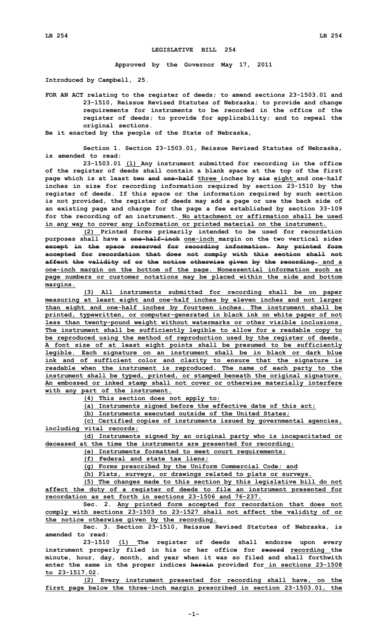## **LEGISLATIVE BILL 254**

**Approved by the Governor May 17, 2011**

**Introduced by Campbell, 25.**

**FOR AN ACT relating to the register of deeds; to amend sections 23-1503.01 and 23-1510, Reissue Revised Statutes of Nebraska; to provide and change requirements for instruments to be recorded in the office of the register of deeds; to provide for applicability; and to repeal the original sections.**

**Be it enacted by the people of the State of Nebraska,**

**Section 1. Section 23-1503.01, Reissue Revised Statutes of Nebraska, is amended to read:**

**23-1503.01 (1) Any instrument submitted for recording in the office of the register of deeds shall contain <sup>a</sup> blank space at the top of the first page which is at least two and one-half three inches by six eight and one-half inches in size for recording information required by section 23-1510 by the register of deeds. If this space or the information required by such section is not provided, the register of deeds may add <sup>a</sup> page or use the back side of an existing page and charge for the page <sup>a</sup> fee established by section 33-109 for the recording of an instrument. No attachment or affirmation shall be used in any way to cover any information or printed material on the instrument.**

**(2) Printed forms primarily intended to be used for recordation purposes shall have <sup>a</sup> one-half-inch one-inch margin on the two vertical sides except in the space reserved for recording information. Any printed form accepted for recordation that does not comply with this section shall not affect the validity of or the notice otherwise given by the recording. and <sup>a</sup> one-inch margin on the bottom of the page. Nonessential information such as page numbers or customer notations may be placed within the side and bottom margins.**

**(3) All instruments submitted for recording shall be on paper measuring at least eight and one-half inches by eleven inches and not larger than eight and one-half inches by fourteen inches. The instrument shall be printed, typewritten, or computer-generated in black ink on white paper of not less than twenty-pound weight without watermarks or other visible inclusions. The instrument shall be sufficiently legible to allow for <sup>a</sup> readable copy to be reproduced using the method of reproduction used by the register of deeds. A font size of at least eight points shall be presumed to be sufficiently legible. Each signature on an instrument shall be in black or dark blue ink and of sufficient color and clarity to ensure that the signature is readable when the instrument is reproduced. The name of each party to the instrument shall be typed, printed, or stamped beneath the original signature. An embossed or inked stamp shall not cover or otherwise materially interfere with any part of the instrument.**

**(4) This section does not apply to:**

**(a) Instruments signed before the effective date of this act;**

**(b) Instruments executed outside of the United States;**

**(c) Certified copies of instruments issued by governmental agencies, including vital records;**

**(d) Instruments signed by an original party who is incapacitated or deceased at the time the instruments are presented for recording;**

**(e) Instruments formatted to meet court requirements;**

**(f) Federal and state tax liens;**

**(g) Forms prescribed by the Uniform Commercial Code; and**

**(h) Plats, surveys, or drawings related to plats or surveys.**

**(5) The changes made to this section by this legislative bill do not affect the duty of <sup>a</sup> register of deeds to file an instrument presented for recordation as set forth in sections 23-1506 and 76-237.**

**Sec. 2. Any printed form accepted for recordation that does not comply with sections 23-1503 to 23-1527 shall not affect the validity of or the notice otherwise given by the recording.**

**Sec. 3. Section 23-1510, Reissue Revised Statutes of Nebraska, is amended to read:**

**23-1510 (1) The register of deeds shall endorse upon every instrument properly filed in his or her office for record recording the minute, hour, day, month, and year when it was so filed and shall forthwith enter the same in the proper indices herein provided for in sections 23-1508 to 23-1517.02.**

**(2) Every instrument presented for recording shall have, on the first page below the three-inch margin prescribed in section 23-1503.01, the**